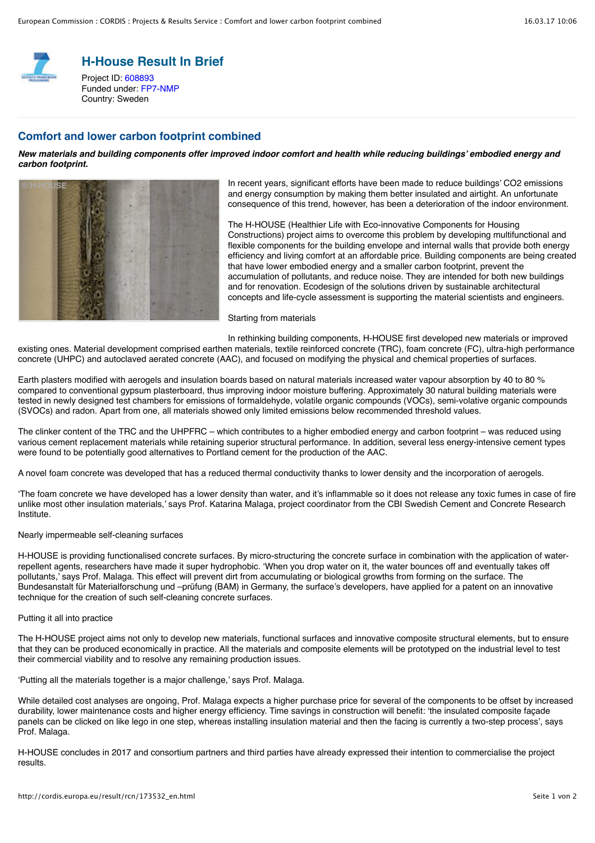

**H-House Result In Brief**

Project ID: [608893](http://cordis.europa.eu/project/rcn/108699_en.html) Funded under: [FP7-NMP](http://cordis.europa.eu/programme/rcn/854_en.html) Country: Sweden

### **Comfort and lower carbon footprint combined**

*New materials and building components offer improved indoor comfort and health while reducing buildings' embodied energy and carbon footprint.*



In recent years, significant efforts have been made to reduce buildings' CO2 emissions and energy consumption by making them better insulated and airtight. An unfortunate consequence of this trend, however, has been a deterioration of the indoor environment.

The H-HOUSE (Healthier Life with Eco-innovative Components for Housing Constructions) project aims to overcome this problem by developing multifunctional and flexible components for the building envelope and internal walls that provide both energy efficiency and living comfort at an affordable price. Building components are being created that have lower embodied energy and a smaller carbon footprint, prevent the accumulation of pollutants, and reduce noise. They are intended for both new buildings and for renovation. Ecodesign of the solutions driven by sustainable architectural concepts and life-cycle assessment is supporting the material scientists and engineers.

Starting from materials

In rethinking building components, H-HOUSE first developed new materials or improved existing ones. Material development comprised earthen materials, textile reinforced concrete (TRC), foam concrete (FC), ultra-high performance concrete (UHPC) and autoclaved aerated concrete (AAC), and focused on modifying the physical and chemical properties of surfaces.

Earth plasters modified with aerogels and insulation boards based on natural materials increased water vapour absorption by 40 to 80 % compared to conventional gypsum plasterboard, thus improving indoor moisture buffering. Approximately 30 natural building materials were tested in newly designed test chambers for emissions of formaldehyde, volatile organic compounds (VOCs), semi-volative organic compounds (SVOCs) and radon. Apart from one, all materials showed only limited emissions below recommended threshold values.

The clinker content of the TRC and the UHPFRC – which contributes to a higher embodied energy and carbon footprint – was reduced using various cement replacement materials while retaining superior structural performance. In addition, several less energy-intensive cement types were found to be potentially good alternatives to Portland cement for the production of the AAC.

A novel foam concrete was developed that has a reduced thermal conductivity thanks to lower density and the incorporation of aerogels.

'The foam concrete we have developed has a lower density than water, and it's inflammable so it does not release any toxic fumes in case of fire unlike most other insulation materials,' says Prof. Katarina Malaga, project coordinator from the CBI Swedish Cement and Concrete Research Institute.

#### Nearly impermeable self-cleaning surfaces

H-HOUSE is providing functionalised concrete surfaces. By micro-structuring the concrete surface in combination with the application of waterrepellent agents, researchers have made it super hydrophobic. 'When you drop water on it, the water bounces off and eventually takes off pollutants,' says Prof. Malaga. This effect will prevent dirt from accumulating or biological growths from forming on the surface. The Bundesanstalt für Materialforschung und –prüfung (BAM) in Germany, the surface's developers, have applied for a patent on an innovative technique for the creation of such self-cleaning concrete surfaces.

#### Putting it all into practice

The H-HOUSE project aims not only to develop new materials, functional surfaces and innovative composite structural elements, but to ensure that they can be produced economically in practice. All the materials and composite elements will be prototyped on the industrial level to test their commercial viability and to resolve any remaining production issues.

'Putting all the materials together is a major challenge,' says Prof. Malaga.

While detailed cost analyses are ongoing, Prof. Malaga expects a higher purchase price for several of the components to be offset by increased durability, lower maintenance costs and higher energy efficiency. Time sayings in construction will benefit: 'the insulated composite facade panels can be clicked on like lego in one step, whereas installing insulation material and then the facing is currently a two-step process', says Prof. Malaga.

H-HOUSE concludes in 2017 and consortium partners and third parties have already expressed their intention to commercialise the project results.